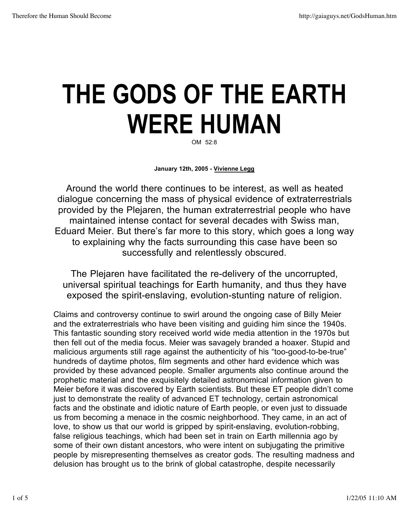## **THE GODS OF THE EARTH WERE HUMAN**

OM 52:8

**January 12th, 2005 - Vivienne Legg**

Around the world there continues to be interest, as well as heated dialogue concerning the mass of physical evidence of extraterrestrials provided by the Plejaren, the human extraterrestrial people who have maintained intense contact for several decades with Swiss man, Eduard Meier. But there's far more to this story, which goes a long way to explaining why the facts surrounding this case have been so successfully and relentlessly obscured.

The Plejaren have facilitated the re-delivery of the uncorrupted, universal spiritual teachings for Earth humanity, and thus they have exposed the spirit-enslaving, evolution-stunting nature of religion.

Claims and controversy continue to swirl around the ongoing case of Billy Meier and the extraterrestrials who have been visiting and guiding him since the 1940s. This fantastic sounding story received world wide media attention in the 1970s but then fell out of the media focus. Meier was savagely branded a hoaxer. Stupid and malicious arguments still rage against the authenticity of his "too-good-to-be-true" hundreds of daytime photos, film segments and other hard evidence which was provided by these advanced people. Smaller arguments also continue around the prophetic material and the exquisitely detailed astronomical information given to Meier before it was discovered by Earth scientists. But these ET people didn't come just to demonstrate the reality of advanced ET technology, certain astronomical facts and the obstinate and idiotic nature of Earth people, or even just to dissuade us from becoming a menace in the cosmic neighborhood. They came, in an act of love, to show us that our world is gripped by spirit-enslaving, evolution-robbing, false religious teachings, which had been set in train on Earth millennia ago by some of their own distant ancestors, who were intent on subjugating the primitive people by misrepresenting themselves as creator gods. The resulting madness and delusion has brought us to the brink of global catastrophe, despite necessarily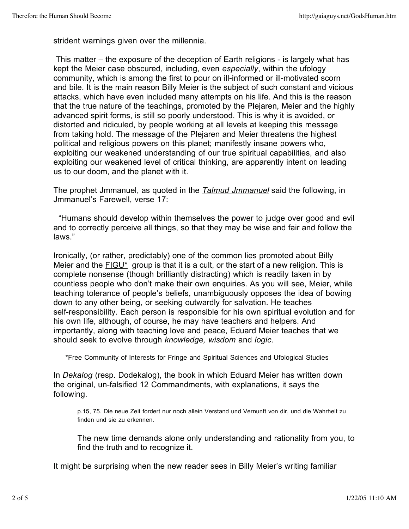strident warnings given over the millennia.

This matter – the exposure of the deception of Earth religions - is largely what has kept the Meier case obscured, including, even *especially*, within the ufology community, which is among the first to pour on ill-informed or ill-motivated scorn and bile. It is the main reason Billy Meier is the subject of such constant and vicious attacks, which have even included many attempts on his life. And this is the reason that the true nature of the teachings, promoted by the Plejaren, Meier and the highly advanced spirit forms, is still so poorly understood. This is why it is avoided, or distorted and ridiculed, by people working at all levels at keeping this message from taking hold. The message of the Plejaren and Meier threatens the highest political and religious powers on this planet; manifestly insane powers who, exploiting our weakened understanding of our true spiritual capabilities, and also exploiting our weakened level of critical thinking, are apparently intent on leading us to our doom, and the planet with it.

The prophet Jmmanuel, as quoted in the *Talmud Jmmanuel* said the following, in Jmmanuel's Farewell, verse 17:

 "Humans should develop within themselves the power to judge over good and evil and to correctly perceive all things, so that they may be wise and fair and follow the laws."

Ironically, (or rather, predictably) one of the common lies promoted about Billy Meier and the FIGU\* group is that it is a cult, or the start of a new religion. This is complete nonsense (though brilliantly distracting) which is readily taken in by countless people who don't make their own enquiries. As you will see, Meier, while teaching tolerance of people's beliefs, unambiguously opposes the idea of bowing down to any other being, or seeking outwardly for salvation. He teaches self-responsibility. Each person is responsible for his own spiritual evolution and for his own life, although, of course, he may have teachers and helpers. And importantly, along with teaching love and peace, Eduard Meier teaches that we should seek to evolve through *knowledge, wisdom* and *logic*.

\*Free Community of Interests for Fringe and Spiritual Sciences and Ufological Studies

In *Dekalog* (resp. Dodekalog), the book in which Eduard Meier has written down the original, un-falsified 12 Commandments, with explanations, it says the following.

p.15, 75. Die neue Zeit fordert nur noch allein Verstand und Vernunft von dir, und die Wahrheit zu finden und sie zu erkennen.

The new time demands alone only understanding and rationality from you, to find the truth and to recognize it.

It might be surprising when the new reader sees in Billy Meier's writing familiar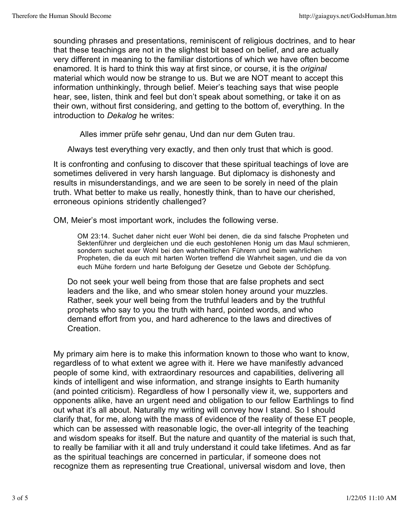sounding phrases and presentations, reminiscent of religious doctrines, and to hear that these teachings are not in the slightest bit based on belief, and are actually very different in meaning to the familiar distortions of which we have often become enamored. It is hard to think this way at first since, or course, it is the *original* material which would now be strange to us. But we are NOT meant to accept this information unthinkingly, through belief. Meier's teaching says that wise people hear, see, listen, think and feel but don't speak about something, or take it on as their own, without first considering, and getting to the bottom of, everything. In the introduction to *Dekalog* he writes:

Alles immer prüfe sehr genau, Und dan nur dem Guten trau.

Always test everything very exactly, and then only trust that which is good.

It is confronting and confusing to discover that these spiritual teachings of love are sometimes delivered in very harsh language. But diplomacy is dishonesty and results in misunderstandings, and we are seen to be sorely in need of the plain truth. What better to make us really, honestly think, than to have our cherished, erroneous opinions stridently challenged?

OM, Meier's most important work, includes the following verse.

OM 23:14. Suchet daher nicht euer Wohl bei denen, die da sind falsche Propheten und Sektenführer und dergleichen und die euch gestohlenen Honig um das Maul schmieren, sondern suchet euer Wohl bei den wahrheitlichen Führern und beim wahrlichen Propheten, die da euch mit harten Worten treffend die Wahrheit sagen, und die da von euch Mühe fordern und harte Befolgung der Gesetze und Gebote der Schöpfung.

Do not seek your well being from those that are false prophets and sect leaders and the like, and who smear stolen honey around your muzzles. Rather, seek your well being from the truthful leaders and by the truthful prophets who say to you the truth with hard, pointed words, and who demand effort from you, and hard adherence to the laws and directives of **Creation** 

My primary aim here is to make this information known to those who want to know, regardless of to what extent we agree with it. Here we have manifestly advanced people of some kind, with extraordinary resources and capabilities, delivering all kinds of intelligent and wise information, and strange insights to Earth humanity (and pointed criticism). Regardless of how I personally view it, we, supporters and opponents alike, have an urgent need and obligation to our fellow Earthlings to find out what it's all about. Naturally my writing will convey how I stand. So I should clarify that, for me, along with the mass of evidence of the reality of these ET people, which can be assessed with reasonable logic, the over-all integrity of the teaching and wisdom speaks for itself. But the nature and quantity of the material is such that, to really be familiar with it all and truly understand it could take lifetimes. And as far as the spiritual teachings are concerned in particular, if someone does not recognize them as representing true Creational, universal wisdom and love, then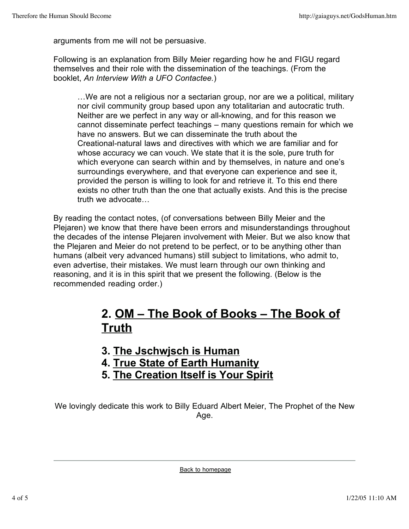arguments from me will not be persuasive.

Following is an explanation from Billy Meier regarding how he and FIGU regard themselves and their role with the dissemination of the teachings. (From the booklet, *An Interview With a UFO Contactee.*)

…We are not a religious nor a sectarian group, nor are we a political, military nor civil community group based upon any totalitarian and autocratic truth. Neither are we perfect in any way or all-knowing, and for this reason we cannot disseminate perfect teachings – many questions remain for which we have no answers. But we can disseminate the truth about the Creational-natural laws and directives with which we are familiar and for whose accuracy we can vouch. We state that it is the sole, pure truth for which everyone can search within and by themselves, in nature and one's surroundings everywhere, and that everyone can experience and see it, provided the person is willing to look for and retrieve it. To this end there exists no other truth than the one that actually exists. And this is the precise truth we advocate…

By reading the contact notes, (of conversations between Billy Meier and the Plejaren) we know that there have been errors and misunderstandings throughout the decades of the intense Plejaren involvement with Meier. But we also know that the Plejaren and Meier do not pretend to be perfect, or to be anything other than humans (albeit very advanced humans) still subject to limitations, who admit to, even advertise, their mistakes. We must learn through our own thinking and reasoning, and it is in this spirit that we present the following. (Below is the recommended reading order.)

## **2. OM – The Book of Books – The Book of Truth**

- **3. The Jschwjsch is Human**
- **4. True State of Earth Humanity**
- **5. The Creation Itself is Your Spirit**

We lovingly dedicate this work to Billy Eduard Albert Meier, The Prophet of the New Age.

Back to homepage